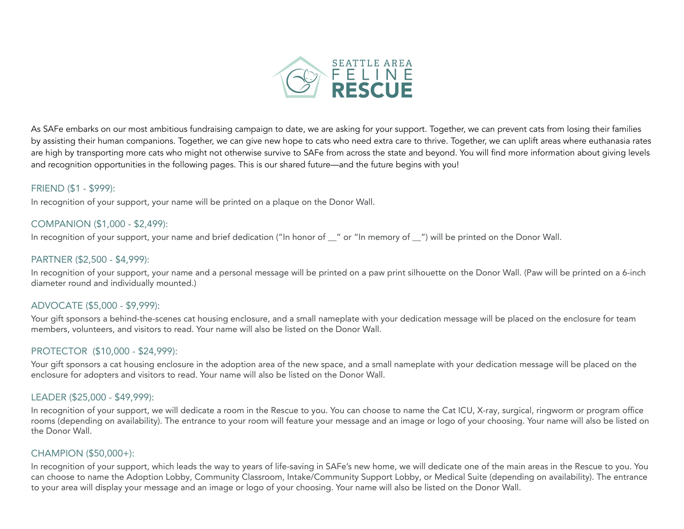

As SAFe embarks on our most ambitious fundraising campaign to date, we are asking for your support. Together, we can prevent cats from losing their families by assisting their human companions. Together, we can give new hope to cats who need extra care to thrive. Together, we can uplift areas where euthanasia rates are high by transporting more cats who might not otherwise survive to SAFe from across the state and beyond. You will find more information about giving levels and recognition opportunities in the following pages. This is our shared future—and the future begins with you!

#### FRIEND (\$1 - \$999):

In recognition of your support, your name will be printed on a plaque on the Donor Wall.

## COMPANION (\$1,000 - \$2,499):

In recognition of your support, your name and brief dedication ("In honor of zion" or "In memory of zion") will be printed on the Donor Wall.

### PARTNER (\$2,500 - \$4,999):

In recognition of your support, your name and a personal message will be printed on a paw print silhouette on the Donor Wall. (Paw will be printed on a 6-inch diameter round and individually mounted.)

#### ADVOCATE (\$5,000 - \$9,999):

Your gift sponsors a behind-the-scenes cat housing enclosure, and a small nameplate with your dedication message will be placed on the enclosure for team members, volunteers, and visitors to read. Your name will also be listed on the Donor Wall.

#### PROTECTOR (\$10,000 - \$24,999):

Your gift sponsors a cat housing enclosure in the adoption area of the new space, and a small nameplate with your dedication message will be placed on the enclosure for adopters and visitors to read. Your name will also be listed on the Donor Wall.

#### LEADER (\$25,000 - \$49,999):

In recognition of your support, we will dedicate a room in the Rescue to you. You can choose to name the Cat ICU, X-ray, surgical, ringworm or program office rooms (depending on availability). The entrance to your room will feature your message and an image or logo of your choosing. Your name will also be listed on the Donor Wall.

#### CHAMPION (\$50,000+):

In recognition of your support, which leads the way to years of life-saving in SAFe's new home, we will dedicate one of the main areas in the Rescue to you. You can choose to name the Adoption Lobby, Community Classroom, Intake/Community Support Lobby, or Medical Suite (depending on availability). The entrance to your area will display your message and an image or logo of your choosing. Your name will also be listed on the Donor Wall.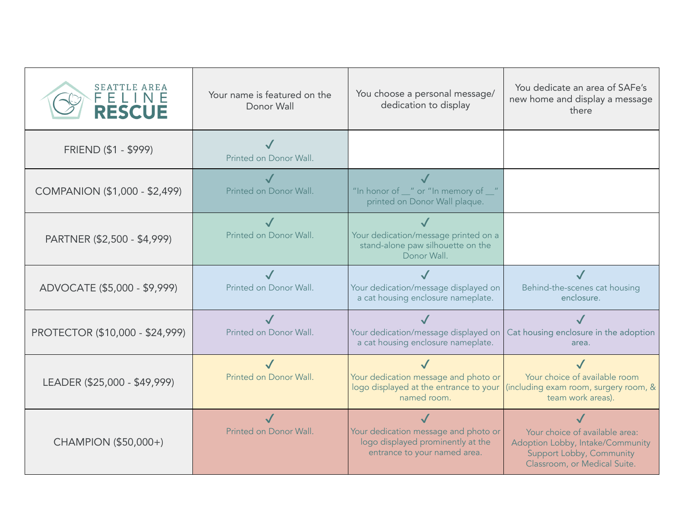| SEATTLE AREA<br>ELINE<br><b>RESCUE</b> | Your name is featured on the<br>Donor Wall | You choose a personal message/<br>dedication to display                                                   | You dedicate an area of SAFe's<br>new home and display a message<br>there                                                      |
|----------------------------------------|--------------------------------------------|-----------------------------------------------------------------------------------------------------------|--------------------------------------------------------------------------------------------------------------------------------|
| FRIEND (\$1 - \$999)                   | Printed on Donor Wall.                     |                                                                                                           |                                                                                                                                |
| COMPANION (\$1,000 - \$2,499)          | Printed on Donor Wall.                     | "In honor of _" or "In memory of _"<br>printed on Donor Wall plaque.                                      |                                                                                                                                |
| PARTNER (\$2,500 - \$4,999)            | Printed on Donor Wall.                     | Your dedication/message printed on a<br>stand-alone paw silhouette on the<br>Donor Wall.                  |                                                                                                                                |
| ADVOCATE (\$5,000 - \$9,999)           | Printed on Donor Wall.                     | Your dedication/message displayed on<br>a cat housing enclosure nameplate.                                | Behind-the-scenes cat housing<br>enclosure.                                                                                    |
| PROTECTOR (\$10,000 - \$24,999)        | Printed on Donor Wall.                     | Your dedication/message displayed on<br>a cat housing enclosure nameplate.                                | Cat housing enclosure in the adoption<br>area.                                                                                 |
| LEADER (\$25,000 - \$49,999)           | Printed on Donor Wall.                     | Your dedication message and photo or<br>logo displayed at the entrance to your<br>named room.             | Your choice of available room<br>(including exam room, surgery room, &<br>team work areas).                                    |
| CHAMPION (\$50,000+)                   | Printed on Donor Wall.                     | Your dedication message and photo or<br>logo displayed prominently at the<br>entrance to your named area. | Your choice of available area:<br>Adoption Lobby, Intake/Community<br>Support Lobby, Community<br>Classroom, or Medical Suite. |